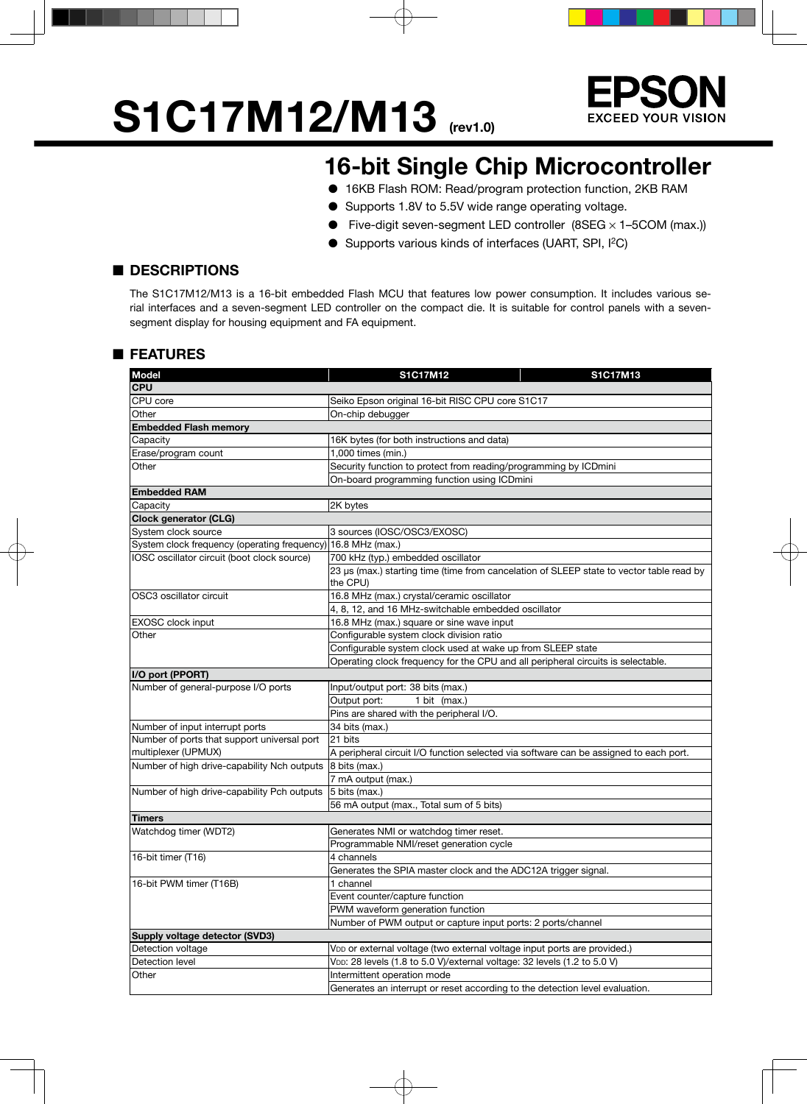# **S1C17M12/M13** (rev1.0)



### **16-bit Single Chip Microcontroller**

- 16KB Flash ROM: Read/program protection function, 2KB RAM
- Supports 1.8V to 5.5V wide range operating voltage.
- Five-digit seven-segment LED controller  $(8SEG \times 1 5COM$  (max.))
- Supports various kinds of interfaces (UART, SPI, I<sup>2</sup>C)

#### ■ **DESCRIPTIONS**

The S1C17M12/M13 is a 16-bit embedded Flash MCU that features low power consumption. It includes various serial interfaces and a seven-segment LED controller on the compact die. It is suitable for control panels with a sevensegment display for housing equipment and FA equipment.

#### ■ **FEATURES**

| <b>Model</b>                                 | S1C17M12<br>S1C17M13                                                                                 |
|----------------------------------------------|------------------------------------------------------------------------------------------------------|
| <b>CPU</b>                                   |                                                                                                      |
| CPU core                                     | Seiko Epson original 16-bit RISC CPU core S1C17                                                      |
| Other                                        | On-chip debugger                                                                                     |
| <b>Embedded Flash memory</b>                 |                                                                                                      |
| Capacity                                     | 16K bytes (for both instructions and data)                                                           |
| Erase/program count                          | 1,000 times (min.)                                                                                   |
| Other                                        | Security function to protect from reading/programming by ICDmini                                     |
|                                              | On-board programming function using ICDmini                                                          |
| <b>Embedded RAM</b>                          |                                                                                                      |
| Capacity                                     | 2K bytes                                                                                             |
| <b>Clock generator (CLG)</b>                 |                                                                                                      |
| System clock source                          | 3 sources (IOSC/OSC3/EXOSC)                                                                          |
| System clock frequency (operating frequency) | 16.8 MHz (max.)                                                                                      |
| IOSC oscillator circuit (boot clock source)  | 700 kHz (typ.) embedded oscillator                                                                   |
|                                              | 23 µs (max.) starting time (time from cancelation of SLEEP state to vector table read by<br>the CPU) |
| OSC3 oscillator circuit                      | 16.8 MHz (max.) crystal/ceramic oscillator                                                           |
|                                              | 4, 8, 12, and 16 MHz-switchable embedded oscillator                                                  |
| EXOSC clock input                            | 16.8 MHz (max.) square or sine wave input                                                            |
| Other                                        | Configurable system clock division ratio                                                             |
|                                              | Configurable system clock used at wake up from SLEEP state                                           |
|                                              | Operating clock frequency for the CPU and all peripheral circuits is selectable.                     |
| I/O port (PPORT)                             |                                                                                                      |
| Number of general-purpose I/O ports          | Input/output port: 38 bits (max.)                                                                    |
|                                              | Output port:<br>1 bit (max.)                                                                         |
|                                              | Pins are shared with the peripheral I/O.                                                             |
| Number of input interrupt ports              | 34 bits (max.)                                                                                       |
| Number of ports that support universal port  | 21 bits                                                                                              |
| multiplexer (UPMUX)                          | A peripheral circuit I/O function selected via software can be assigned to each port.                |
| Number of high drive-capability Nch outputs  | $ 8 \text{ bits (max.)}$                                                                             |
|                                              | 7 mA output (max.)                                                                                   |
| Number of high drive-capability Pch outputs  | $ 5 \text{ bits (max.)}$                                                                             |
|                                              | 56 mA output (max., Total sum of 5 bits)                                                             |
| <b>Timers</b>                                |                                                                                                      |
| Watchdog timer (WDT2)                        | Generates NMI or watchdog timer reset.                                                               |
|                                              | Programmable NMI/reset generation cycle                                                              |
| 16-bit timer (T16)                           | 4 channels                                                                                           |
|                                              | Generates the SPIA master clock and the ADC12A trigger signal.                                       |
| 16-bit PWM timer (T16B)                      | 1 channel                                                                                            |
|                                              | Event counter/capture function                                                                       |
|                                              | PWM waveform generation function                                                                     |
|                                              | Number of PWM output or capture input ports: 2 ports/channel                                         |
| Supply voltage detector (SVD3)               |                                                                                                      |
| Detection voltage                            | VDD or external voltage (two external voltage input ports are provided.)                             |
| Detection level                              | VDD: 28 levels (1.8 to 5.0 V)/external voltage: 32 levels (1.2 to 5.0 V)                             |
| Other                                        | Intermittent operation mode                                                                          |
|                                              | Generates an interrupt or reset according to the detection level evaluation.                         |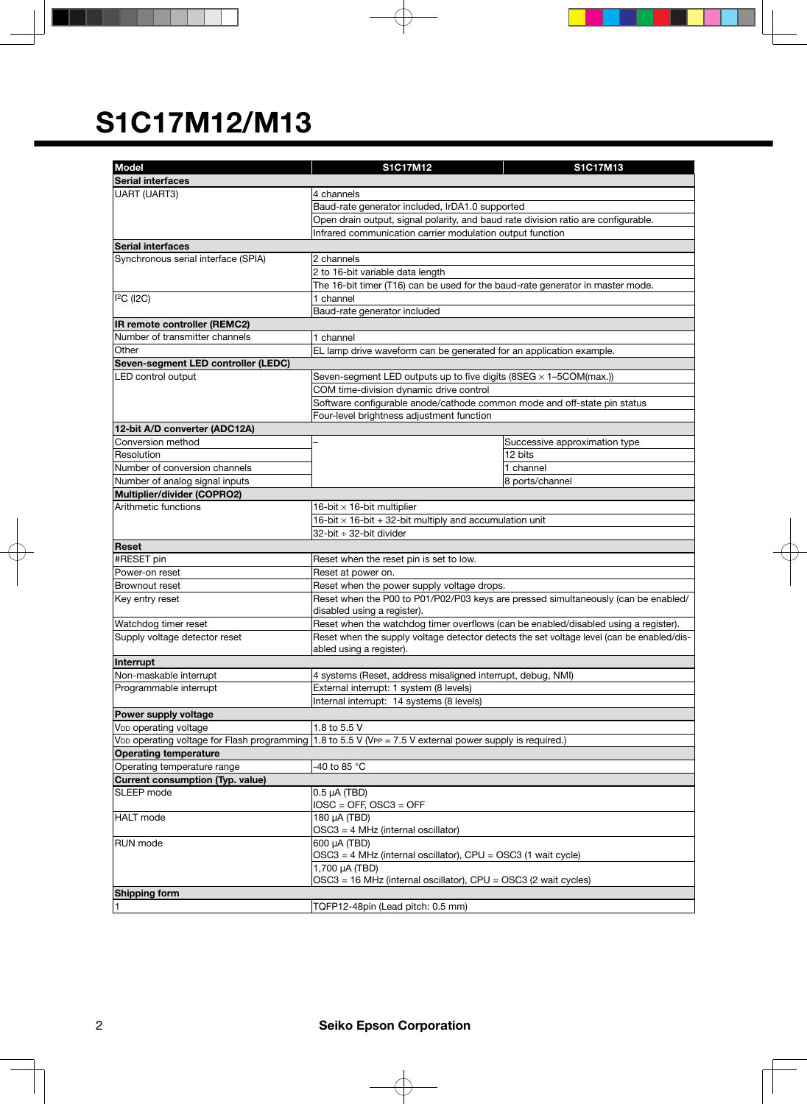| <b>Model</b>                            | S1C17M12                                                                                                                                                                         | S1C17M13                                                                           |  |  |  |  |
|-----------------------------------------|----------------------------------------------------------------------------------------------------------------------------------------------------------------------------------|------------------------------------------------------------------------------------|--|--|--|--|
| Serial interfaces                       |                                                                                                                                                                                  |                                                                                    |  |  |  |  |
|                                         | <b>UART (UART3)</b><br>4 channels                                                                                                                                                |                                                                                    |  |  |  |  |
|                                         | Baud-rate generator included, IrDA1.0 supported                                                                                                                                  |                                                                                    |  |  |  |  |
|                                         | Open drain output, signal polarity, and baud rate division ratio are configurable.                                                                                               |                                                                                    |  |  |  |  |
|                                         | Infrared communication carrier modulation output function                                                                                                                        |                                                                                    |  |  |  |  |
| <b>Serial interfaces</b>                |                                                                                                                                                                                  |                                                                                    |  |  |  |  |
| Synchronous serial interface (SPIA)     | 2 channels                                                                                                                                                                       |                                                                                    |  |  |  |  |
|                                         | 2 to 16-bit variable data length                                                                                                                                                 |                                                                                    |  |  |  |  |
|                                         | The 16-bit timer (T16) can be used for the baud-rate generator in master mode.                                                                                                   |                                                                                    |  |  |  |  |
| $I2C$ (I2C)                             | 1 channel                                                                                                                                                                        |                                                                                    |  |  |  |  |
|                                         | Baud-rate generator included                                                                                                                                                     |                                                                                    |  |  |  |  |
| IR remote controller (REMC2)            |                                                                                                                                                                                  |                                                                                    |  |  |  |  |
| Number of transmitter channels          | 1 channel                                                                                                                                                                        |                                                                                    |  |  |  |  |
| Other                                   | EL lamp drive waveform can be generated for an application example.                                                                                                              |                                                                                    |  |  |  |  |
| Seven-segment LED controller (LEDC)     |                                                                                                                                                                                  |                                                                                    |  |  |  |  |
| LED control output                      | Seven-segment LED outputs up to five digits (8SEG × 1-5COM(max.))                                                                                                                |                                                                                    |  |  |  |  |
|                                         | COM time-division dynamic drive control                                                                                                                                          |                                                                                    |  |  |  |  |
|                                         | Software configurable anode/cathode common mode and off-state pin status                                                                                                         |                                                                                    |  |  |  |  |
|                                         | Four-level brightness adjustment function                                                                                                                                        |                                                                                    |  |  |  |  |
| 12-bit A/D converter (ADC12A)           |                                                                                                                                                                                  |                                                                                    |  |  |  |  |
| Conversion method                       |                                                                                                                                                                                  | Successive approximation type                                                      |  |  |  |  |
| Resolution                              |                                                                                                                                                                                  | 12 bits                                                                            |  |  |  |  |
| Number of conversion channels           |                                                                                                                                                                                  | 1 channel                                                                          |  |  |  |  |
| Number of analog signal inputs          |                                                                                                                                                                                  | 8 ports/channel                                                                    |  |  |  |  |
| Multiplier/divider (COPRO2)             |                                                                                                                                                                                  |                                                                                    |  |  |  |  |
| Arithmetic functions                    | 16-bit $\times$ 16-bit multiplier                                                                                                                                                |                                                                                    |  |  |  |  |
|                                         | 16-bit $\times$ 16-bit + 32-bit multiply and accumulation unit                                                                                                                   |                                                                                    |  |  |  |  |
|                                         | 32-bit ÷ 32-bit divider                                                                                                                                                          |                                                                                    |  |  |  |  |
| Reset                                   |                                                                                                                                                                                  |                                                                                    |  |  |  |  |
| #RESET pin                              | Reset when the reset pin is set to low.                                                                                                                                          |                                                                                    |  |  |  |  |
| Power-on reset                          | Reset at power on.                                                                                                                                                               |                                                                                    |  |  |  |  |
| Brownout reset                          | Reset when the power supply voltage drops.                                                                                                                                       |                                                                                    |  |  |  |  |
| Key entry reset                         |                                                                                                                                                                                  | Reset when the P00 to P01/P02/P03 keys are pressed simultaneously (can be enabled/ |  |  |  |  |
|                                         | disabled using a register).                                                                                                                                                      |                                                                                    |  |  |  |  |
| Watchdog timer reset                    | Reset when the watchdog timer overflows (can be enabled/disabled using a register).<br>Reset when the supply voltage detector detects the set voltage level (can be enabled/dis- |                                                                                    |  |  |  |  |
| Supply voltage detector reset           | abled using a register).                                                                                                                                                         |                                                                                    |  |  |  |  |
| Interrupt                               |                                                                                                                                                                                  |                                                                                    |  |  |  |  |
| Non-maskable interrupt                  | 4 systems (Reset, address misaligned interrupt, debug, NMI)                                                                                                                      |                                                                                    |  |  |  |  |
| Programmable interrupt                  | External interrupt: 1 system (8 levels)                                                                                                                                          |                                                                                    |  |  |  |  |
|                                         | Internal interrupt: 14 systems (8 levels)                                                                                                                                        |                                                                                    |  |  |  |  |
| Power supply voltage                    |                                                                                                                                                                                  |                                                                                    |  |  |  |  |
| V <sub>DD</sub> operating voltage       | 1.8 to 5.5 V                                                                                                                                                                     |                                                                                    |  |  |  |  |
|                                         | V <sub>DD</sub> operating voltage for Flash programming 1.8 to 5.5 V (VPP = 7.5 V external power supply is required.)                                                            |                                                                                    |  |  |  |  |
| <b>Operating temperature</b>            |                                                                                                                                                                                  |                                                                                    |  |  |  |  |
| Operating temperature range             | -40 to 85 °C                                                                                                                                                                     |                                                                                    |  |  |  |  |
| <b>Current consumption (Typ. value)</b> |                                                                                                                                                                                  |                                                                                    |  |  |  |  |
| SLEEP mode                              | $0.5$ µA (TBD)                                                                                                                                                                   |                                                                                    |  |  |  |  |
|                                         | $IOSC = OFF$ , $OSC3 = OFF$                                                                                                                                                      |                                                                                    |  |  |  |  |
| <b>HALT</b> mode                        | 180 µA (TBD)                                                                                                                                                                     |                                                                                    |  |  |  |  |
|                                         | OSC3 = 4 MHz (internal oscillator)                                                                                                                                               |                                                                                    |  |  |  |  |
| RUN mode                                | 600 µA (TBD)                                                                                                                                                                     |                                                                                    |  |  |  |  |
|                                         | OSC3 = 4 MHz (internal oscillator), CPU = OSC3 (1 wait cycle)                                                                                                                    |                                                                                    |  |  |  |  |
|                                         | 1,700 µA (TBD)                                                                                                                                                                   |                                                                                    |  |  |  |  |
|                                         | OSC3 = 16 MHz (internal oscillator), CPU = OSC3 (2 wait cycles)                                                                                                                  |                                                                                    |  |  |  |  |
| Shipping form                           |                                                                                                                                                                                  |                                                                                    |  |  |  |  |
|                                         | TQFP12-48pin (Lead pitch: 0.5 mm)                                                                                                                                                |                                                                                    |  |  |  |  |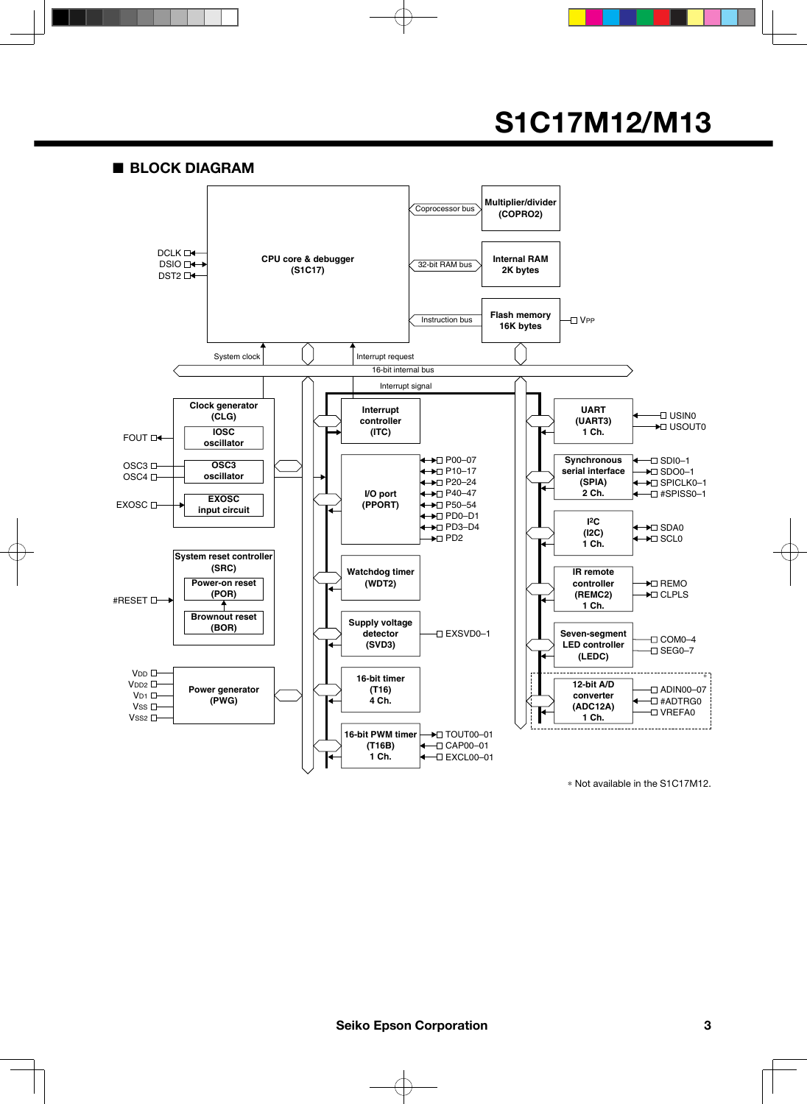■ **BLOCK DIAGRAM**



 \* Not available in the S1C17M12.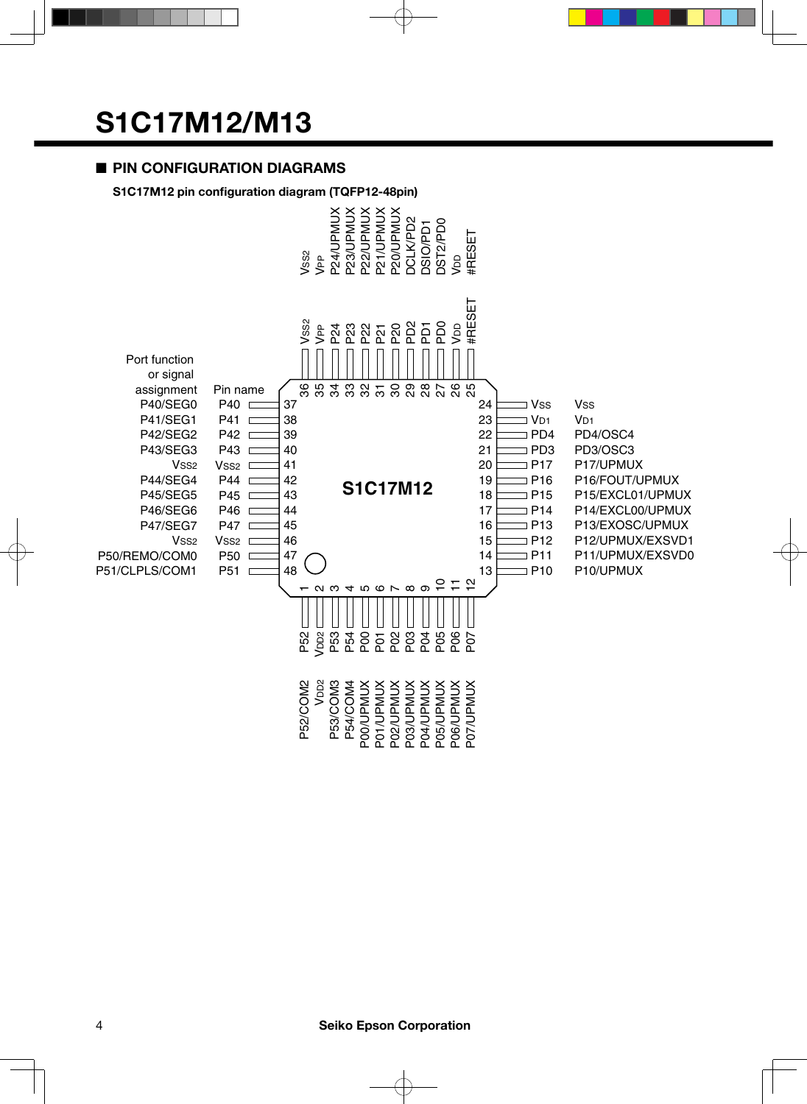#### ■ **PIN CONFIGURATION DIAGRAMS**

#### **S1C17M12 pin configuration diagram (TQFP12-48pin)**

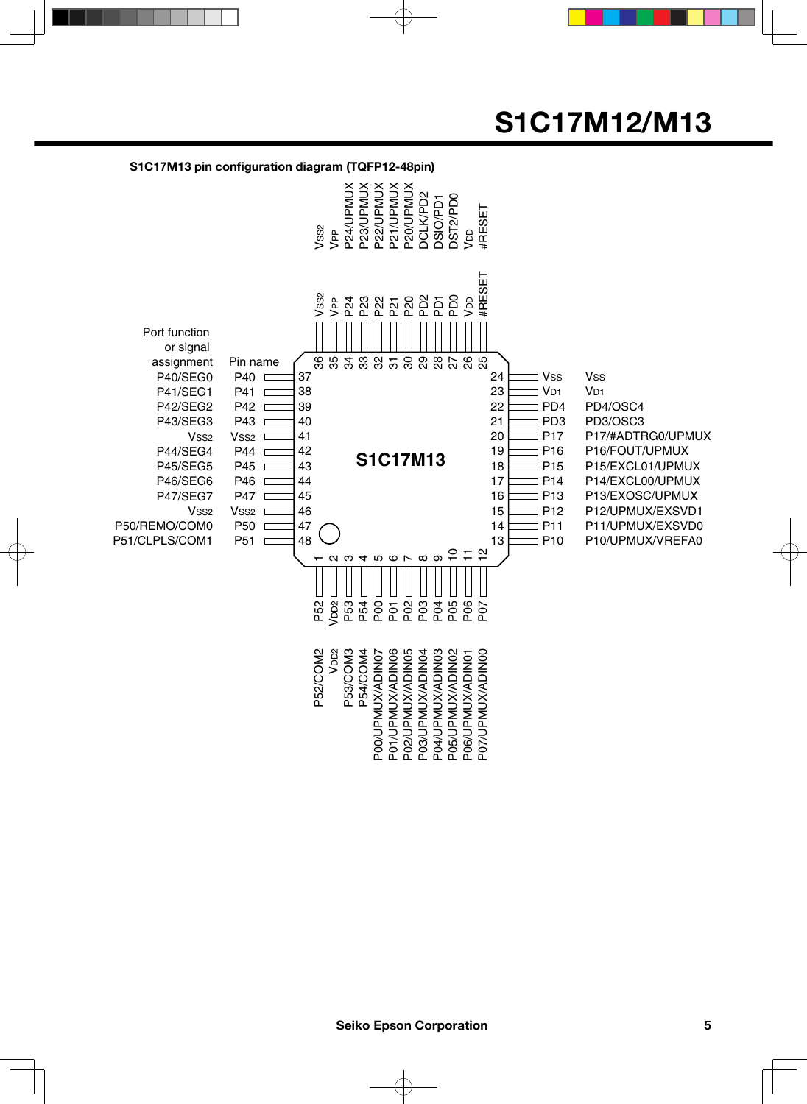#### **S1C17M13 pin configuration diagram (TQFP12-48pin)**

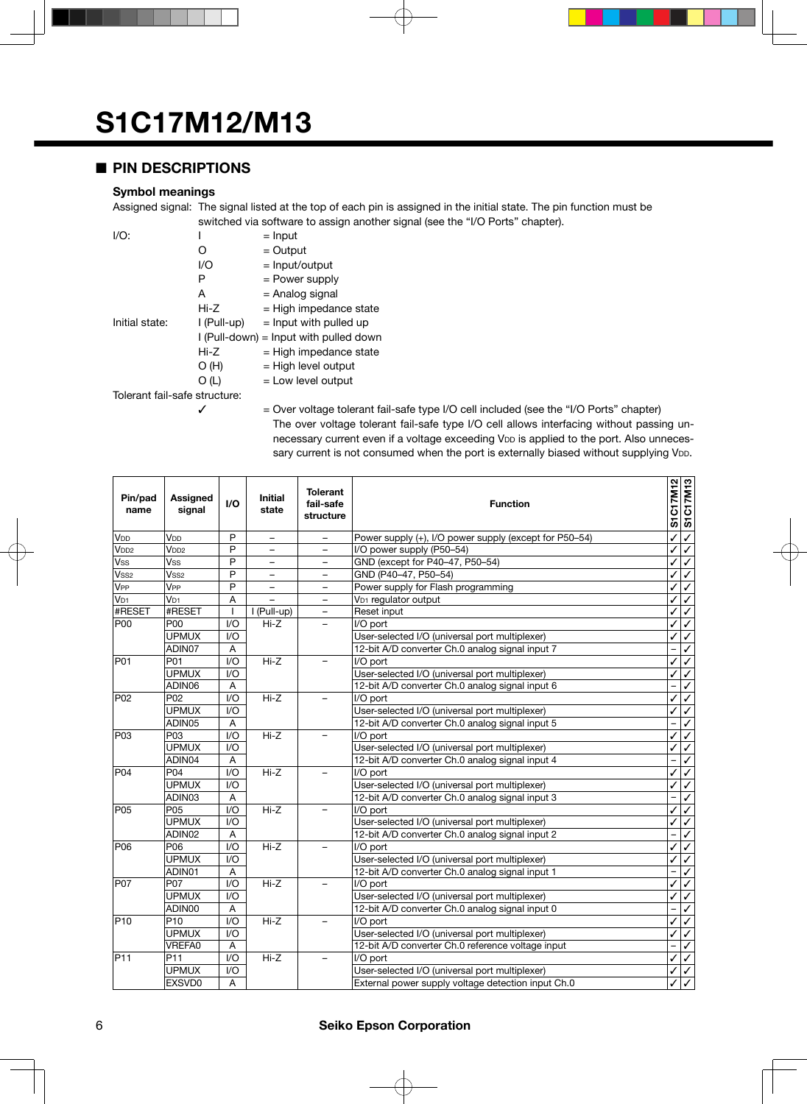#### ■ **PIN DESCRIPTIONS**

#### **Symbol meanings**

Assigned signal: The signal listed at the top of each pin is assigned in the initial state. The pin function must be switched via software to assign another signal (see the "I/O Ports" chapter).

| $I/O$ :                       |             | $=$ Input                              |
|-------------------------------|-------------|----------------------------------------|
|                               | O           | $=$ Output                             |
|                               | I/O         | = Input/output                         |
|                               | Р           | $=$ Power supply                       |
|                               | A           | = Analog signal                        |
|                               | Hi-Z        | $=$ High impedance state               |
| Initial state:                | l (Pull-up) | $=$ Input with pulled up               |
|                               |             | I (Pull-down) = Input with pulled down |
|                               | $Hi-Z$      | $=$ High impedance state               |
|                               | O(H)        | $=$ High level output                  |
|                               | O (L)       | $=$ Low level output                   |
| Tolerant fail-safe structure: |             |                                        |
|                               |             | $Q_{1.01}$                             |

 $\checkmark$  = Over voltage tolerant fail-safe type I/O cell included (see the "I/O Ports" chapter) The over voltage tolerant fail-safe type I/O cell allows interfacing without passing unnecessary current even if a voltage exceeding VDD is applied to the port. Also unnecessary current is not consumed when the port is externally biased without supplying VDD.

| Pin/pad<br>name  | <b>Assigned</b><br>signal | $\mathsf{I}/\mathsf{O}$ | <b>Initial</b><br>state | <b>Tolerant</b><br>fail-safe<br>structure | <b>Function</b>                                        |   | S1C17M12 | <b>S1C17M13</b> |
|------------------|---------------------------|-------------------------|-------------------------|-------------------------------------------|--------------------------------------------------------|---|----------|-----------------|
| V <sub>DD</sub>  | V <sub>DD</sub>           | P                       | $\qquad \qquad -$       | $\qquad \qquad -$                         | Power supply (+), I/O power supply (except for P50-54) |   |          | $\checkmark$    |
| V <sub>DD2</sub> | V <sub>DD2</sub>          | P                       |                         | $\overline{\phantom{0}}$                  | I/O power supply (P50-54)                              |   |          | ✓               |
| Vss              | Vss                       | P                       |                         | $\overline{\phantom{0}}$                  | GND (except for P40-47, P50-54)                        |   |          | ✓               |
| Vss <sub>2</sub> | Vss <sub>2</sub>          | P                       | $\qquad \qquad -$       | $\qquad \qquad -$                         | GND (P40-47, P50-54)                                   |   | ✓        | ✓               |
| V <sub>PP</sub>  | V <sub>PP</sub>           | P                       | $\qquad \qquad -$       | -                                         | Power supply for Flash programming                     |   | ✓        | ✓               |
| V <sub>D1</sub>  | V <sub>D1</sub>           | A                       |                         | ÷                                         | V <sub>D1</sub> requlator output                       |   | ✓        | ✓               |
| #RESET           | #RESET                    | $\mathbf{I}$            | I (Pull-up)             | $\overline{\phantom{0}}$                  | Reset input                                            |   | ✓        | ✓               |
| <b>P00</b>       | P <sub>00</sub>           | $IV$                    | $Hi-Z$                  |                                           | I/O port                                               |   |          | ✓               |
|                  | <b>UPMUX</b>              | $U$                     |                         |                                           | User-selected I/O (universal port multiplexer)         |   | ✓        | ✓               |
|                  | ADIN07                    | A                       |                         |                                           | 12-bit A/D converter Ch.0 analog signal input 7        |   |          | ✓               |
| P01              | P01                       | 1/O                     | Hi-Z                    | -                                         | I/O port                                               |   | ✓        | ✓               |
|                  | <b>UPMUX</b>              | $U$                     |                         |                                           | User-selected I/O (universal port multiplexer)         |   | ✓        | ✓               |
|                  | ADIN06                    | A                       |                         |                                           | 12-bit A/D converter Ch.0 analog signal input 6        |   |          | ✓               |
| P <sub>02</sub>  | P <sub>02</sub>           | 1/O                     | $Hi-Z$                  | $\overline{\phantom{0}}$                  | I/O port                                               |   | ✓        | ✓               |
|                  | <b>UPMUX</b>              | $U$                     |                         |                                           | User-selected I/O (universal port multiplexer)         |   | ✓        | ✓               |
|                  | ADIN05                    | A                       |                         |                                           | 12-bit A/D converter Ch.0 analog signal input 5        |   |          | ✓               |
| P03              | P03                       | 1/O                     | $Hi-Z$                  |                                           | I/O port                                               |   | ✓        | ✓               |
|                  | <b>UPMUX</b>              | 1/O                     |                         |                                           | User-selected I/O (universal port multiplexer)         |   |          | ✓               |
|                  | ADIN04                    | A                       |                         |                                           | 12-bit A/D converter Ch.0 analog signal input 4        |   |          | ℐ               |
| P <sub>04</sub>  | P <sub>04</sub>           | 1/O                     | $Hi-Z$                  | $\qquad \qquad -$                         | I/O port                                               |   | ✓        | ✓               |
|                  | <b>UPMUX</b>              | 1/O                     |                         |                                           | User-selected I/O (universal port multiplexer)         |   |          | ✓               |
|                  | ADIN03                    | A                       |                         |                                           | 12-bit A/D converter Ch.0 analog signal input 3        |   |          | ✓               |
| P <sub>05</sub>  | P <sub>05</sub>           | 1/O                     | $Hi-Z$                  |                                           | $\overline{I/O}$ port                                  |   |          |                 |
|                  | <b>UPMUX</b>              | 1/O                     |                         |                                           | User-selected I/O (universal port multiplexer)         |   |          | ✓               |
|                  | ADIN02                    | Α                       |                         |                                           | 12-bit A/D converter Ch.0 analog signal input 2        |   |          | ✓               |
| P <sub>06</sub>  | P06                       | 1/O                     | $Hi-Z$                  | $\overline{\phantom{0}}$                  | I/O port                                               |   |          | ✓               |
|                  | <b>UPMUX</b>              | 1/O                     |                         |                                           | User-selected I/O (universal port multiplexer)         |   | ✓        | ✓               |
|                  | ADIN01                    | A                       |                         |                                           | 12-bit A/D converter Ch.0 analog signal input 1        |   |          | ✓               |
| P <sub>07</sub>  | P07                       | 1/O                     | $Hi-Z$                  | $\overline{\phantom{0}}$                  | I/O port                                               |   | ✓        | ℐ               |
|                  | <b>UPMUX</b>              | 1/O                     |                         |                                           | User-selected I/O (universal port multiplexer)         |   | ✓        | ✓               |
|                  | ADIN00                    | $\overline{A}$          |                         |                                           | 12-bit A/D converter Ch.0 analog signal input 0        |   |          | ✓               |
| P <sub>10</sub>  | P <sub>10</sub>           | 1/O                     | $Hi-Z$                  |                                           | $\overline{I/O}$ port                                  |   | ✓        | ✓               |
|                  | <b>UPMUX</b>              | 1/O                     |                         |                                           | User-selected I/O (universal port multiplexer)         |   |          |                 |
|                  | VREFA0                    | A                       |                         |                                           | 12-bit A/D converter Ch.0 reference voltage input      |   |          | ✓               |
| P11              | P <sub>11</sub>           | I/O                     | Hi-Z<br>I/O port<br>÷   |                                           |                                                        | ✓ | ✓        |                 |
|                  | <b>UPMUX</b>              | 1/O                     |                         |                                           | User-selected I/O (universal port multiplexer)         |   |          | ✓               |
|                  | EXSVD0                    | A                       |                         |                                           | External power supply voltage detection input Ch.0     |   |          | ✓               |

#### 6 **Seiko Epson Corporation**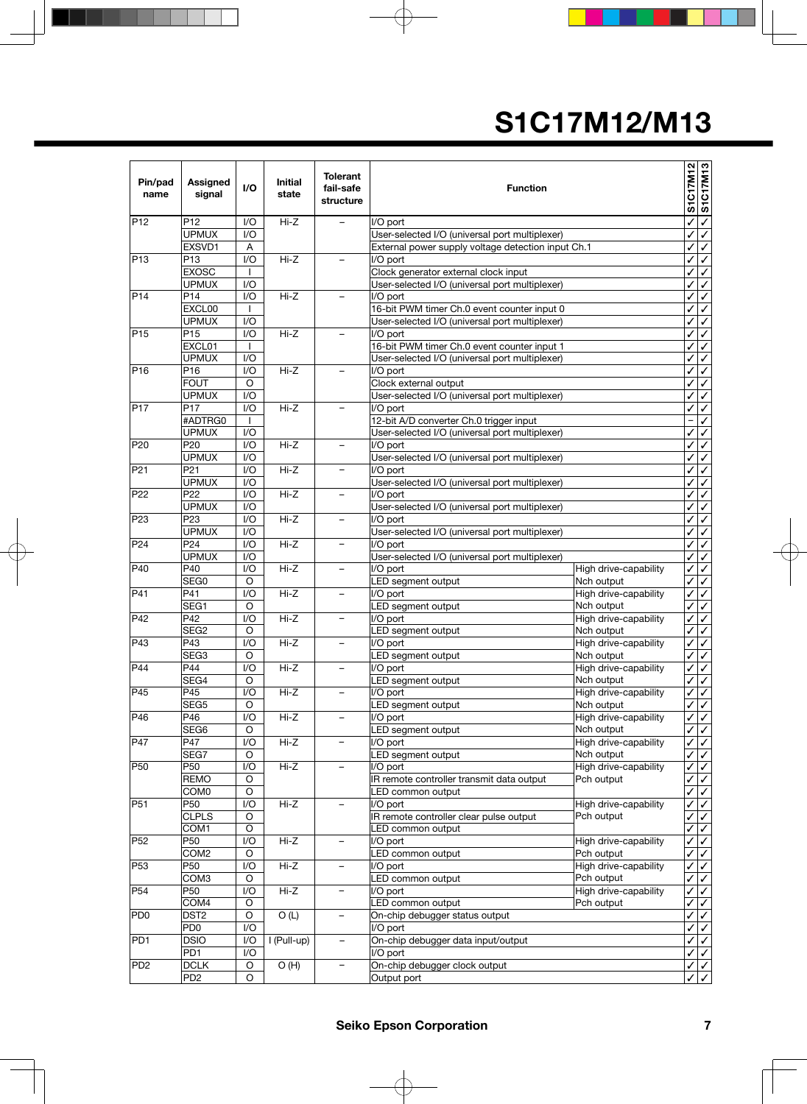| Pin/pad<br>name | Assigned<br>signal        | I/O                    | Initial<br>state | <b>Tolerant</b><br>fail-safe<br>structure | <b>Function</b>                                         |                                     | S1C17M12                     | <b>S1C17M13</b>              |
|-----------------|---------------------------|------------------------|------------------|-------------------------------------------|---------------------------------------------------------|-------------------------------------|------------------------------|------------------------------|
| P <sub>12</sub> | P <sub>12</sub>           | I/O                    | $Hi-Z$           | $\overline{\phantom{a}}$                  | I/O port                                                |                                     | ✓                            | $\overline{\checkmark}$      |
|                 | <b>UPMUX</b>              | 1/O                    |                  |                                           | User-selected I/O (universal port multiplexer)          |                                     | ✓                            | $\checkmark$                 |
|                 | EXSVD1                    | Α                      |                  |                                           | External power supply voltage detection input Ch.1      |                                     | ✓                            | $\checkmark$                 |
| P13             | P <sub>13</sub>           | 1/O                    | $Hi-Z$           | $\overline{\phantom{0}}$                  | I/O port                                                |                                     | ✓                            | $\checkmark$                 |
|                 | <b>EXOSC</b>              | $\mathsf{I}$           |                  |                                           | Clock generator external clock input                    |                                     | ✓                            | $\checkmark$                 |
|                 | <b>UPMUX</b>              | 1/O                    |                  |                                           | User-selected I/O (universal port multiplexer)          |                                     | ✓                            | $\overline{\checkmark}$      |
| PI4             | P <sub>14</sub>           | 1/O                    | $Hi-Z$           |                                           | I/O port                                                |                                     | ✓                            | $\overline{\checkmark}$      |
|                 | EXCL00                    | I.                     |                  |                                           | 16-bit PWM timer Ch.0 event counter input 0             |                                     | ✓                            | $\checkmark$                 |
|                 | <b>UPMUX</b>              | 1/O                    |                  |                                           | User-selected I/O (universal port multiplexer)          |                                     | ✓                            | $\checkmark$                 |
| P <sub>15</sub> | P <sub>15</sub><br>EXCL01 | 1/O                    | $Hi-Z$           | $\overline{\phantom{0}}$                  | I/O port<br>16-bit PWM timer Ch.0 event counter input 1 |                                     | ✓                            | $\overline{\checkmark}$      |
|                 | <b>UPMUX</b>              | <b>I</b><br>1/O        |                  |                                           | User-selected I/O (universal port multiplexer)          |                                     | ✓<br>✓                       | $\checkmark$<br>$\checkmark$ |
| P <sub>16</sub> | P16                       | 1/O                    | $Hi-Z$           | $\overline{a}$                            | I/O port                                                |                                     | ✓                            | $\checkmark$                 |
|                 | <b>FOUT</b>               | O                      |                  |                                           | Clock external output                                   |                                     | ✓                            | $\checkmark$                 |
|                 | <b>UPMUX</b>              | 1/O                    |                  |                                           | User-selected I/O (universal port multiplexer)          |                                     | ✓                            | $\checkmark$                 |
| <b>P17</b>      | P <sub>17</sub>           | 1/O                    | $Hi-Z$           | $\qquad \qquad -$                         | I/O port                                                |                                     | ✓                            | $\overline{\checkmark}$      |
|                 | #ADTRG0                   | $\mathbf{I}$           |                  |                                           | 12-bit A/D converter Ch.0 trigger input                 |                                     | $\overline{\phantom{0}}$     | $\overline{\checkmark}$      |
|                 | <b>UPMUX</b>              | I/O                    |                  |                                           | User-selected I/O (universal port multiplexer)          |                                     | ✓                            | $\checkmark$                 |
| P <sub>20</sub> | P <sub>20</sub>           | 1/O                    | $Hi-Z$           | $\qquad \qquad -$                         | I/O port                                                |                                     | ✓                            | $\overline{\checkmark}$      |
|                 | <b>UPMUX</b>              | I/O                    |                  |                                           | User-selected I/O (universal port multiplexer)          |                                     | ✓                            | $\overline{\checkmark}$      |
| P21             | P <sub>21</sub>           | 1/O                    | $Hi-Z$           |                                           | I/O port                                                |                                     | ✓                            | $\checkmark$                 |
|                 | <b>UPMUX</b>              | 1/O                    |                  |                                           | User-selected I/O (universal port multiplexer)          |                                     | ✓                            | $\checkmark$                 |
| P22             | P <sub>22</sub>           | 1/O                    | $Hi-Z$           | $\overline{\phantom{m}}$                  | I/O port                                                |                                     | ✓                            | $\overline{\checkmark}$      |
|                 | <b>UPMUX</b>              | I/O                    |                  |                                           | User-selected I/O (universal port multiplexer)          |                                     | ✓                            | $\overline{\checkmark}$      |
| P <sub>23</sub> | P <sub>23</sub>           | I/O                    | $Hi-Z$           | $\overline{\phantom{0}}$                  | I/O port                                                |                                     | ✓                            | $\checkmark$                 |
|                 | <b>UPMUX</b>              | I/O                    |                  |                                           | User-selected I/O (universal port multiplexer)          |                                     | ✓                            | $\checkmark$                 |
| P24             | P <sub>24</sub>           | I/O                    | $Hi-Z$           | $\overline{\phantom{m}}$                  | I/O port                                                |                                     | ✓                            | $\checkmark$                 |
|                 | <b>UPMUX</b>              | $U$                    |                  |                                           | User-selected I/O (universal port multiplexer)          |                                     | ✓                            | $\checkmark$                 |
| P40             | P40                       | $\mathsf{U}\mathsf{O}$ | $Hi-Z$           | $\overline{\phantom{0}}$                  | I/O port                                                | High drive-capability               | ✓                            | $\overline{\checkmark}$      |
|                 | SEG0                      | O                      |                  |                                           | LED segment output                                      | Nch output                          | ✓                            | $\checkmark$                 |
| P41             | P41                       | 1/O                    | $Hi-Z$           | $\overline{\phantom{0}}$                  | I/O port                                                | High drive-capability               | ✓                            | $\checkmark$                 |
|                 | SEG1                      | O                      |                  |                                           | LED segment output                                      | Nch output                          | ✓                            | $\checkmark$                 |
| P42             | P42                       | 1/O                    | $Hi-Z$           | $\qquad \qquad -$                         | I/O port                                                | High drive-capability               | ✓                            | $\checkmark$                 |
|                 | SEG <sub>2</sub>          | O                      |                  |                                           | LED segment output                                      | Nch output                          | ✓                            | $\checkmark$                 |
| P43             | P43                       | I/O                    | $Hi-Z$           | $\overline{\phantom{0}}$                  | I/O port                                                | High drive-capability               | ✓                            | $\overline{\checkmark}$      |
|                 | SEG <sub>3</sub>          | O                      |                  |                                           | LED segment output                                      | Nch output                          | ✓                            | $\sqrt{2}$                   |
| P44             | P44                       | 1/O                    | $Hi-Z$           | $\qquad \qquad -$                         | I/O port                                                | High drive-capability               | ✓                            | $\overline{\checkmark}$      |
|                 | SEG4                      | O                      |                  |                                           | LED segment output                                      | Nch output                          | ✓                            | $\overline{\checkmark}$      |
| P45             | P45                       | I/O                    | $Hi-Z$           | $\overline{\phantom{0}}$                  | I/O port                                                | High drive-capability               | ✓                            | $\overline{\checkmark}$      |
| P46             | SEG5                      | O                      |                  |                                           | LED segment output                                      | Nch output<br>High drive-capability | ✓                            | $\checkmark$                 |
|                 | P46<br>SEG <sub>6</sub>   | I/O<br>O               | Hi-Z             | $\overline{\phantom{0}}$                  | I/O port                                                |                                     | ✓<br>$\overline{\checkmark}$ | $\checkmark$                 |
| P47             | P47                       | I/O                    | Hi-Z             | $\qquad \qquad -$                         | LED segment output<br>I/O port                          | Nch output<br>High drive-capability | ✓                            | $\checkmark$<br>$\checkmark$ |
|                 | SEG7                      | O                      |                  |                                           | LED segment output                                      | Nch output                          | ✓                            | $\checkmark$                 |
| P50             | P <sub>50</sub>           | I/O                    | Hi-Z             |                                           | I/O port                                                | High drive-capability               | ✓                            | $\checkmark$                 |
|                 | <b>REMO</b>               | O                      |                  |                                           | IR remote controller transmit data output               | Pch output                          | ✓                            | $\checkmark$                 |
|                 | COM <sub>0</sub>          | O                      |                  |                                           | LED common output                                       |                                     | ✓                            | $\checkmark$                 |
| P51             | P50                       | I/O                    | Hi-Z             | $\qquad \qquad -$                         | I/O port                                                | High drive-capability               | ✓                            | $\checkmark$                 |
|                 | <b>CLPLS</b>              | O                      |                  |                                           | IR remote controller clear pulse output                 | Pch output                          | √                            | $\checkmark$                 |
|                 | COM1                      | O                      |                  |                                           | LED common output                                       |                                     | ✓                            | $\overline{\checkmark}$      |
| P <sub>52</sub> | P50                       | I/O                    | Hi-Z             | $\qquad \qquad -$                         | I/O port                                                | High drive-capability               | ✓                            | $\checkmark$                 |
|                 | COM <sub>2</sub>          | O                      |                  |                                           | LED common output                                       | Pch output                          | ✓                            | $\checkmark$                 |
| P <sub>53</sub> | P50                       | I/O                    | Hi-Z             | $\qquad \qquad -$                         | I/O port                                                | High drive-capability               | ✓                            | $\checkmark$                 |
|                 | COM <sub>3</sub>          | O                      |                  |                                           | LED common output                                       | Pch output                          | ✓                            | $\checkmark$                 |
| P <sub>54</sub> | P <sub>50</sub>           | I/O                    | Hi-Z             | $\qquad \qquad -$                         | I/O port                                                | High drive-capability               | ✓                            | $\overline{\checkmark}$      |
|                 | COM4                      | O                      |                  |                                           | LED common output                                       | Pch output                          | ✓                            | $\checkmark$                 |
| PD <sub>0</sub> | DST <sub>2</sub>          | O                      | O(L)             | $\qquad \qquad -$                         | On-chip debugger status output                          |                                     | ✓                            | $\checkmark$                 |
|                 | PD <sub>0</sub>           | I/O                    |                  |                                           | I/O port                                                |                                     | ✓                            | $\checkmark$                 |
| PD <sub>1</sub> | <b>DSIO</b>               | I/O                    | I (Pull-up)      |                                           | On-chip debugger data input/output                      |                                     | ✓                            | $\checkmark$                 |
|                 | PD <sub>1</sub>           | I/O                    |                  |                                           | I/O port                                                |                                     | ✓                            | $\checkmark$                 |
| PD <sub>2</sub> | <b>DCLK</b>               | O                      | O(H)             |                                           | On-chip debugger clock output                           |                                     | ✓                            | $\checkmark$                 |
|                 | PD <sub>2</sub>           | O                      |                  |                                           | Output port                                             |                                     |                              | $\overline{\checkmark}$      |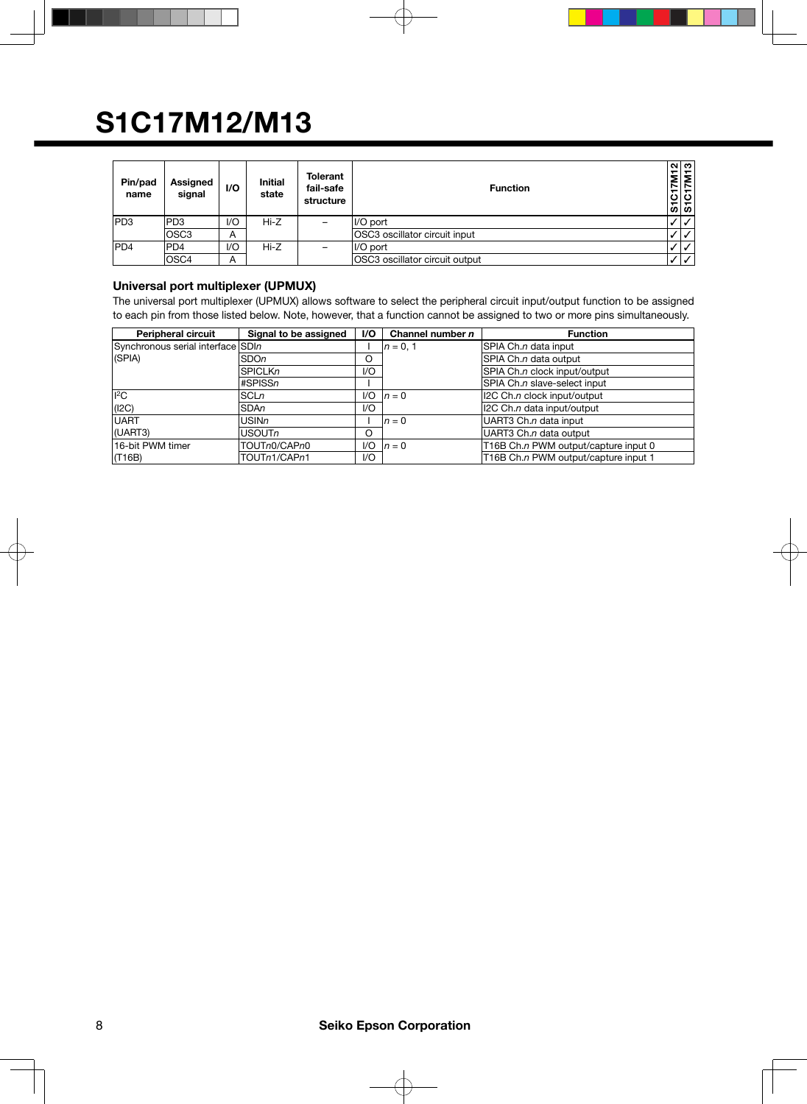| Pin/pad<br>name | Assigned<br>signal | I/O | <b>Initial</b><br>state | <b>Tolerant</b><br>fail-safe<br>structure | <b>Function</b>                | $\alpha$   ന <br>$rac{7}{\sqrt{2}}$<br>$rac{2}{\sqrt{2}}$ |
|-----------------|--------------------|-----|-------------------------|-------------------------------------------|--------------------------------|-----------------------------------------------------------|
| PD3             | PD <sub>3</sub>    | 1/O | Hi-Z                    | $\qquad \qquad$                           | II/O port                      | $\mathcal{N}^+$                                           |
|                 | lOSC3              | А   |                         |                                           | OSC3 oscillator circuit input  | $\overline{1}$                                            |
| <b>PD4</b>      | <b>PD4</b>         | VQ  | Hi-Z                    | -                                         | II/O port                      | $\mathcal{U}^+$                                           |
|                 | OSC <sub>4</sub>   | A   |                         |                                           | OSC3 oscillator circuit output | ا ⁄ ا                                                     |

#### **Universal port multiplexer (UPMUX)**

The universal port multiplexer (UPMUX) allows software to select the peripheral circuit input/output function to be assigned to each pin from those listed below. Note, however, that a function cannot be assigned to two or more pins simultaneously.

| <b>Peripheral circuit</b>         | Signal to be assigned | <b>VO</b> | Channel number $n$ | <b>Function</b>                      |
|-----------------------------------|-----------------------|-----------|--------------------|--------------------------------------|
| Synchronous serial interface SDIn |                       |           | $ n = 0, 1$        | SPIA Ch.n data input                 |
| $ $ (SPIA)                        | <b>SDOn</b>           | O         |                    | SPIA Ch.n data output                |
|                                   | <b>SPICLKn</b>        | 1/O       |                    | SPIA Ch.n clock input/output         |
|                                   | #SPISSn               |           |                    | SPIA Ch.n slave-select input         |
| ll <sup>2</sup> C                 | <b>SCLn</b>           | 1/O       | $n=0$              | 12C Ch.n clock input/output          |
| (12C)                             | <b>SDAn</b>           | 1/O       |                    | 12C Ch.n data input/output           |
| <b>UART</b>                       | USINn.                |           | $n=0$              | UART3 Ch.n data input                |
| (UART3)                           | USOUTn                | O         |                    | UART3 Ch.n data output               |
| 16-bit PWM timer                  | TOUTn0/CAPn0          | 1/O       | $n=0$              | T16B Ch.n PWM output/capture input 0 |
| (T16B)                            | TOUTn1/CAPn1          | 1/O       |                    | T16B Ch.n PWM output/capture input 1 |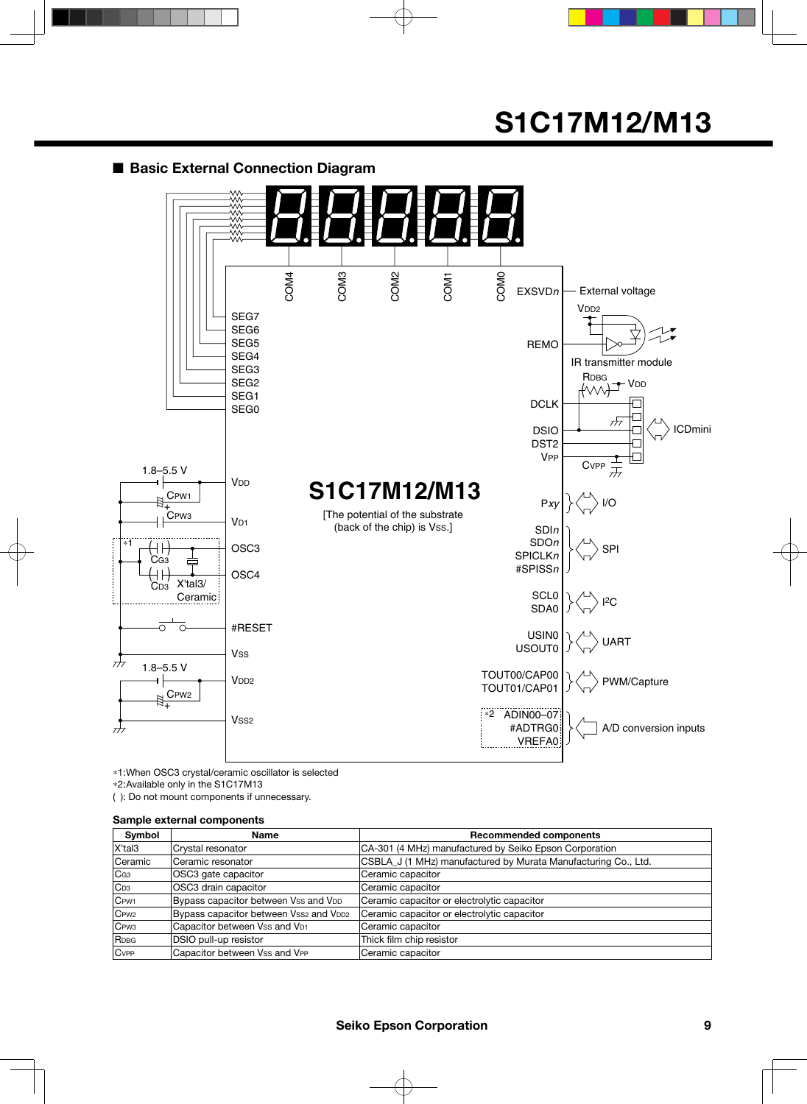#### ■ **Basic External Connection Diagram**



\*1: When OSC3 crystal/ceramic oscillator is selected \*2: Available only in the S1C17M13

( ): Do not mount components if unnecessary.

#### **Sample external components**

| Symbol           | Name                                   | <b>Recommended components</b>                                  |
|------------------|----------------------------------------|----------------------------------------------------------------|
| X'tal3           | Crystal resonator                      | CA-301 (4 MHz) manufactured by Seiko Epson Corporation         |
| <b>Ceramic</b>   | Ceramic resonator                      | CSBLA J (1 MHz) manufactured by Murata Manufacturing Co., Ltd. |
| CG3              | OSC3 gate capacitor                    | Ceramic capacitor                                              |
| $ C_{D3} $       | OSC3 drain capacitor                   | Ceramic capacitor                                              |
| C <sub>PW1</sub> | Bypass capacitor between Vss and VDD   | Ceramic capacitor or electrolytic capacitor                    |
| C <sub>PW2</sub> | Bypass capacitor between Vss2 and VDD2 | Ceramic capacitor or electrolytic capacitor                    |
| C <sub>PW3</sub> | Capacitor between Vss and VD1          | Ceramic capacitor                                              |
| RDBG             | DSIO pull-up resistor                  | Thick film chip resistor                                       |
| <b>C</b> vPP     | Capacitor between Vss and VPP          | Ceramic capacitor                                              |